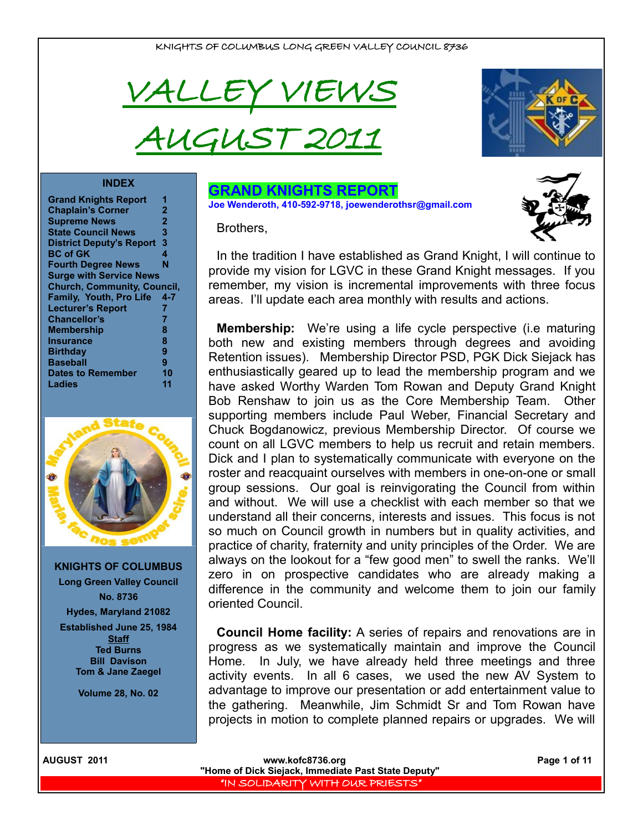



#### **INDEX**

| <b>Grand Knights Report</b>        |     |
|------------------------------------|-----|
| <b>Chaplain's Corner</b>           | 2   |
| <b>Supreme News</b>                | 2   |
| <b>State Council News</b>          | 3   |
| <b>District Deputy's Report</b>    | 3   |
| <b>BC of GK</b>                    | 4   |
| <b>Fourth Degree News</b>          | N   |
| <b>Surge with Service News</b>     |     |
| <b>Church, Community, Council,</b> |     |
| <b>Family, Youth, Pro Life</b>     | 4-7 |
| <b>Lecturer's Report</b>           | 7   |
| Chancellor's                       | 7   |
| <b>Membership</b>                  | 8   |
| Insurance                          | 8   |
| <b>Birthday</b>                    | 9   |
| <b>Baseball</b>                    | 9   |
| <b>Dates to Remember</b>           | 10  |
| Ladies                             | 11  |
|                                    |     |



**KNIGHTS OF COLUMBUS Long Green Valley Council No. 8736 Hydes, Maryland 21082 Established June 25, 1984 Staff Ted Burns Bill Davison Tom & Jane Zaegel**

**Volume 28, No. 02**

## **GRAND KNIGHTS REPORT**

**Joe Wenderoth, 410-592-9718, joewenderothsr@gmail.com**

Brothers,



**Membership:** We're using a life cycle perspective (i.e maturing both new and existing members through degrees and avoiding Retention issues). Membership Director PSD, PGK Dick Siejack has enthusiastically geared up to lead the membership program and we have asked Worthy Warden Tom Rowan and Deputy Grand Knight Bob Renshaw to join us as the Core Membership Team. Other supporting members include Paul Weber, Financial Secretary and Chuck Bogdanowicz, previous Membership Director. Of course we count on all LGVC members to help us recruit and retain members. Dick and I plan to systematically communicate with everyone on the roster and reacquaint ourselves with members in one-on-one or small group sessions. Our goal is reinvigorating the Council from within and without. We will use a checklist with each member so that we understand all their concerns, interests and issues. This focus is not so much on Council growth in numbers but in quality activities, and practice of charity, fraternity and unity principles of the Order. We are always on the lookout for a "few good men" to swell the ranks. We'll zero in on prospective candidates who are already making a difference in the community and welcome them to join our family oriented Council.

**Council Home facility:** A series of repairs and renovations are in progress as we systematically maintain and improve the Council Home. In July, we have already held three meetings and three activity events. In all 6 cases, we used the new AV System to advantage to improve our presentation or add entertainment value to the gathering. Meanwhile, Jim Schmidt Sr and Tom Rowan have projects in motion to complete planned repairs or upgrades. We will

|  |  |  | <b>AUGUST 2011</b> |  |
|--|--|--|--------------------|--|
|--|--|--|--------------------|--|

**WWW.kofc8736.org Page 1 of 11 "Home of Dick Siejack, Immediate Past State Deputy"**  "IN SOLIDARITY WITH OUR PRIESTS"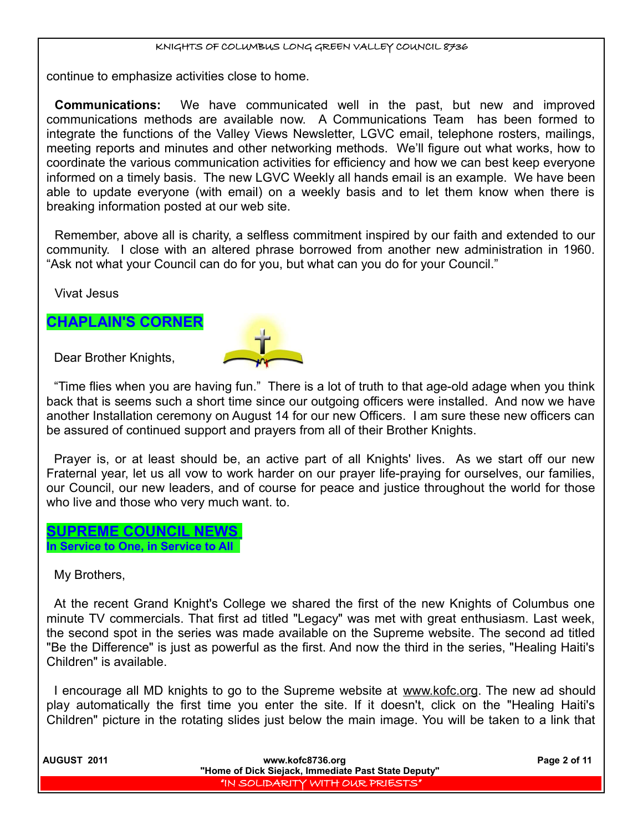continue to emphasize activities close to home.

**Communications:** We have communicated well in the past, but new and improved communications methods are available now. A Communications Team has been formed to integrate the functions of the Valley Views Newsletter, LGVC email, telephone rosters, mailings, meeting reports and minutes and other networking methods. We'll figure out what works, how to coordinate the various communication activities for efficiency and how we can best keep everyone informed on a timely basis. The new LGVC Weekly all hands email is an example. We have been able to update everyone (with email) on a weekly basis and to let them know when there is breaking information posted at our web site.

Remember, above all is charity, a selfless commitment inspired by our faith and extended to our community. I close with an altered phrase borrowed from another new administration in 1960. "Ask not what your Council can do for you, but what can you do for your Council."

Vivat Jesus

## **CHAPLAIN'S CORNER**

Dear Brother Knights,



"Time flies when you are having fun." There is a lot of truth to that age-old adage when you think back that is seems such a short time since our outgoing officers were installed. And now we have another Installation ceremony on August 14 for our new Officers. I am sure these new officers can be assured of continued support and prayers from all of their Brother Knights.

Prayer is, or at least should be, an active part of all Knights' lives. As we start off our new Fraternal year, let us all vow to work harder on our prayer life-praying for ourselves, our families, our Council, our new leaders, and of course for peace and justice throughout the world for those who live and those who very much want. to.

 **SUPREME COUNCIL NEWS In Service to One, in Service to All** 

My Brothers,

At the recent Grand Knight's College we shared the first of the new Knights of Columbus one minute TV commercials. That first ad titled "Legacy" was met with great enthusiasm. Last week, the second spot in the series was made available on the Supreme website. The second ad titled "Be the Difference" is just as powerful as the first. And now the third in the series, "Healing Haiti's Children" is available.

I encourage all MD knights to go to the Supreme website at www.kofc.org. The new ad should play automatically the first time you enter the site. If it doesn't, click on the "Healing Haiti's Children" picture in the rotating slides just below the main image. You will be taken to a link that

| <b>AUGUST 2011</b> | www.kofc8736.org                                    | Page 2 of 11 |
|--------------------|-----------------------------------------------------|--------------|
|                    | "Home of Dick Siejack, Immediate Past State Deputy" |              |
|                    | "IN SOLIDARITY WITH OUR PRIESTS"                    |              |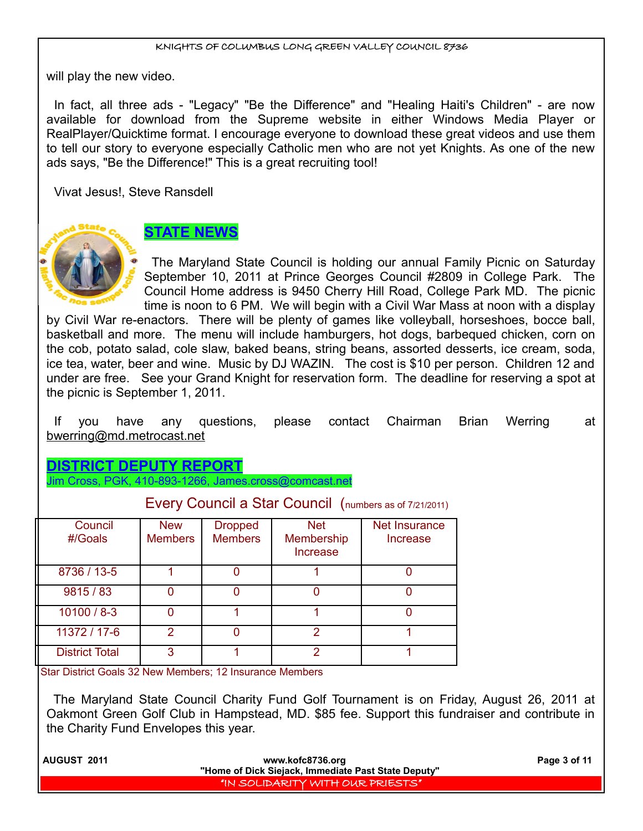will play the new video.

In fact, all three ads - "Legacy" "Be the Difference" and "Healing Haiti's Children" - are now available for download from the Supreme website in either Windows Media Player or RealPlayer/Quicktime format. I encourage everyone to download these great videos and use them to tell our story to everyone especially Catholic men who are not yet Knights. As one of the new ads says, "Be the Difference!" This is a great recruiting tool!

Vivat Jesus!, Steve Ransdell



# **STATE NEWS**

The Maryland State Council is holding our annual Family Picnic on Saturday September 10, 2011 at Prince Georges Council #2809 in College Park. The Council Home address is 9450 Cherry Hill Road, College Park MD. The picnic time is noon to 6 PM. We will begin with a Civil War Mass at noon with a display

by Civil War re-enactors. There will be plenty of games like volleyball, horseshoes, bocce ball, basketball and more. The menu will include hamburgers, hot dogs, barbequed chicken, corn on the cob, potato salad, cole slaw, baked beans, string beans, assorted desserts, ice cream, soda, ice tea, water, beer and wine. Music by DJ WAZIN. The cost is \$10 per person. Children 12 and under are free. See your Grand Knight for reservation form. The deadline for reserving a spot at the picnic is September 1, 2011.

If you have any questions, please contact Chairman Brian Werring at bwerring@md.metrocast.net

**IICT DEPUTY REPOR** 

Jim Cross, PGK, 410-893-1266, James.cross@comcast.net

| _ _ _ _ _             |                              |                                  |                                             |                           |
|-----------------------|------------------------------|----------------------------------|---------------------------------------------|---------------------------|
| Council<br>#/Goals    | <b>New</b><br><b>Members</b> | <b>Dropped</b><br><b>Members</b> | <b>Net</b><br>Membership<br><b>Increase</b> | Net Insurance<br>Increase |
| 8736 / 13-5           |                              |                                  |                                             |                           |
| 9815 / 83             |                              |                                  |                                             |                           |
| $10100 / 8 - 3$       |                              |                                  |                                             |                           |
| 11372 / 17-6          | 2                            |                                  | 2                                           |                           |
| <b>District Total</b> | 3                            |                                  | 2                                           |                           |

Every Council a Star Council (numbers as of 7/21/2011)

Star District Goals 32 New Members; 12 Insurance Members

The Maryland State Council Charity Fund Golf Tournament is on Friday, August 26, 2011 at Oakmont Green Golf Club in Hampstead, MD. \$85 fee. Support this fundraiser and contribute in the Charity Fund Envelopes this year.

| <b>AUGUST 2011</b> | www.kofc8736.org                                    | Page 3 of 11 |
|--------------------|-----------------------------------------------------|--------------|
|                    | "Home of Dick Siejack, Immediate Past State Deputy" |              |
|                    | I "IN SOLIDARITY WITH OUR PRIESTS" I                |              |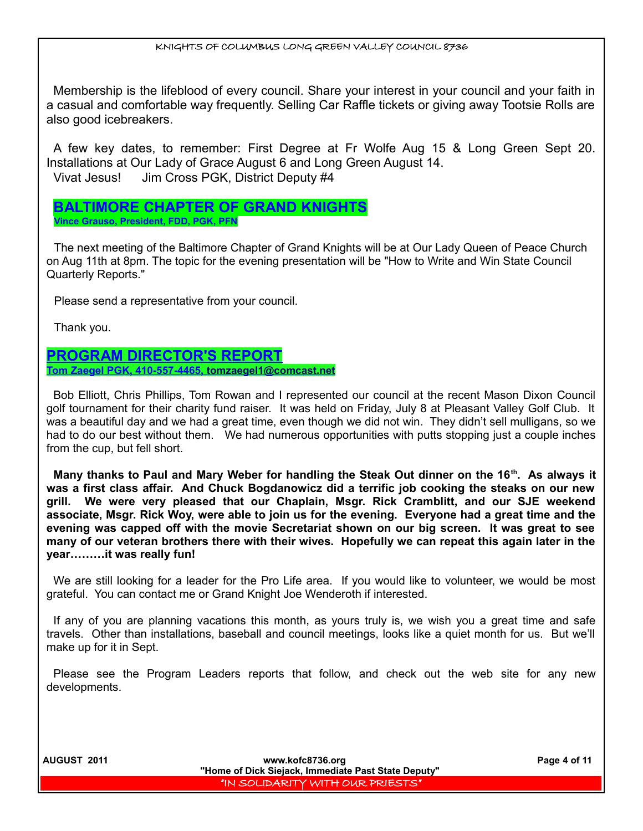Membership is the lifeblood of every council. Share your interest in your council and your faith in a casual and comfortable way frequently. Selling Car Raffle tickets or giving away Tootsie Rolls are also good icebreakers.

A few key dates, to remember: First Degree at Fr Wolfe Aug 15 & Long Green Sept 20. Installations at Our Lady of Grace August 6 and Long Green August 14. Vivat Jesus! Jim Cross PGK, District Deputy #4

## **BALTIMORE CHAPTER OF GRAND KNIGHTS Vince Grauso, President, FDD, PGK, PFN**

The next meeting of the Baltimore Chapter of Grand Knights will be at Our Lady Queen of Peace Church on Aug 11th at 8pm. The topic for the evening presentation will be "How to Write and Win State Council Quarterly Reports."

Please send a representative from your council.

Thank you.

## **PROGRAM DIRECTOR'S REPORT Tom Zaegel PGK, 410-557-4465, [tomzaegel1@comcast.net](mailto:tomzaegel1@comcast.net)**

Bob Elliott, Chris Phillips, Tom Rowan and I represented our council at the recent Mason Dixon Council golf tournament for their charity fund raiser. It was held on Friday, July 8 at Pleasant Valley Golf Club. It was a beautiful day and we had a great time, even though we did not win. They didn't sell mulligans, so we had to do our best without them. We had numerous opportunities with putts stopping just a couple inches from the cup, but fell short.

**Many thanks to Paul and Mary Weber for handling the Steak Out dinner on the 16th. As always it was a first class affair. And Chuck Bogdanowicz did a terrific job cooking the steaks on our new grill. We were very pleased that our Chaplain, Msgr. Rick Cramblitt, and our SJE weekend associate, Msgr. Rick Woy, were able to join us for the evening. Everyone had a great time and the evening was capped off with the movie Secretariat shown on our big screen. It was great to see many of our veteran brothers there with their wives. Hopefully we can repeat this again later in the year………it was really fun!**

We are still looking for a leader for the Pro Life area. If you would like to volunteer, we would be most grateful. You can contact me or Grand Knight Joe Wenderoth if interested.

If any of you are planning vacations this month, as yours truly is, we wish you a great time and safe travels. Other than installations, baseball and council meetings, looks like a quiet month for us. But we'll make up for it in Sept.

Please see the Program Leaders reports that follow, and check out the web site for any new developments.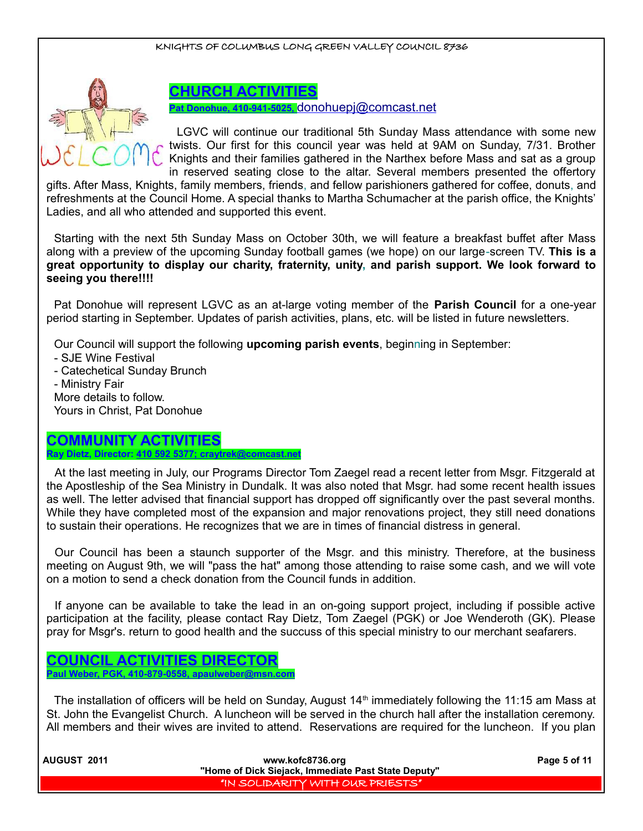

## **CHURCH ACTIVITIES**

**Pat Donohue, 410-941-5025,** [donohuepj@comcast.net](mailto:donohuepj@comcast.net)

LGVC will continue our traditional 5th Sunday Mass attendance with some new twists. Our first for this council year was held at 9AM on Sunday, 7/31. Brother Knights and their families gathered in the Narthex before Mass and sat as a group in reserved seating close to the altar. Several members presented the offertory

gifts. After Mass, Knights, family members, friends, and fellow parishioners gathered for coffee, donuts, and refreshments at the Council Home. A special thanks to Martha Schumacher at the parish office, the Knights' Ladies, and all who attended and supported this event.

Starting with the next 5th Sunday Mass on October 30th, we will feature a breakfast buffet after Mass along with a preview of the upcoming Sunday football games (we hope) on our large-screen TV. **This is a great opportunity to display our charity, fraternity, unity, and parish support. We look forward to seeing you there!!!!**

Pat Donohue will represent LGVC as an at-large voting member of the **Parish Council** for a one-year period starting in September. Updates of parish activities, plans, etc. will be listed in future newsletters.

Our Council will support the following **upcoming parish events**, beginning in September:

- SJE Wine Festival

- Catechetical Sunday Brunch
- Ministry Fair

More details to follow. Yours in Christ, Pat Donohue

## **COMMUNITY ACTIVITIES Ray Dietz, Director: 410 592 5377; craytrek@comcast.net**

At the last meeting in July, our Programs Director Tom Zaegel read a recent letter from Msgr. Fitzgerald at the Apostleship of the Sea Ministry in Dundalk. It was also noted that Msgr. had some recent health issues as well. The letter advised that financial support has dropped off significantly over the past several months. While they have completed most of the expansion and major renovations project, they still need donations to sustain their operations. He recognizes that we are in times of financial distress in general.

Our Council has been a staunch supporter of the Msgr. and this ministry. Therefore, at the business meeting on August 9th, we will "pass the hat" among those attending to raise some cash, and we will vote on a motion to send a check donation from the Council funds in addition.

If anyone can be available to take the lead in an on-going support project, including if possible active participation at the facility, please contact Ray Dietz, Tom Zaegel (PGK) or Joe Wenderoth (GK). Please pray for Msgr's. return to good health and the succuss of this special ministry to our merchant seafarers.

## **COUNCIL ACTIVITIES DIRECTOR Paul Weber, PGK, 410-879-0558, apaulweber@msn.com**

The installation of officers will be held on Sunday, August  $14<sup>th</sup>$  immediately following the 11:15 am Mass at St. John the Evangelist Church. A luncheon will be served in the church hall after the installation ceremony. All members and their wives are invited to attend. Reservations are required for the luncheon. If you plan

| <b>AUGUST 2011</b> | www.kofc8736.org                                    | Page 5 of 11 |
|--------------------|-----------------------------------------------------|--------------|
|                    | "Home of Dick Siejack, Immediate Past State Deputy" |              |
|                    | "IN SOLIDARITY WITH OUR PRIESTS"                    |              |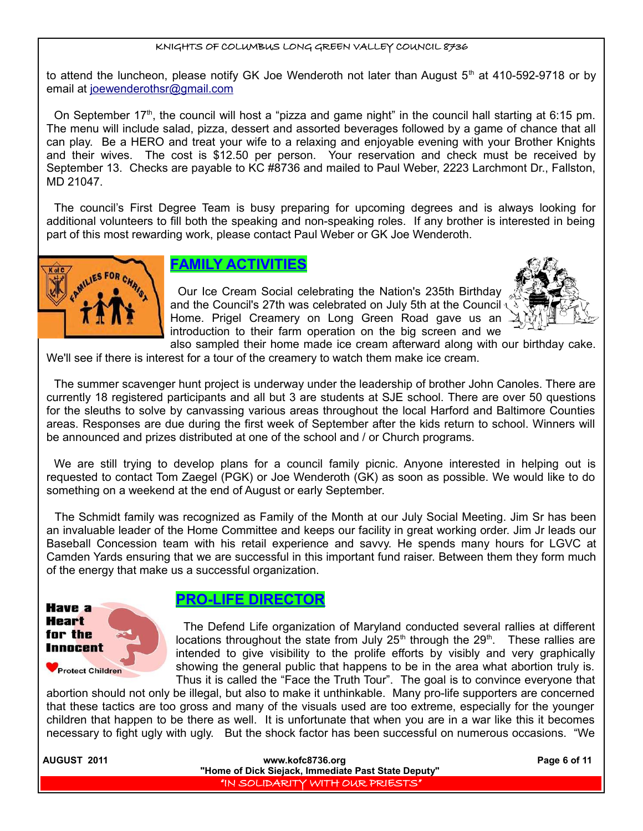to attend the luncheon, please notify GK Joe Wenderoth not later than August  $5<sup>th</sup>$  at 410-592-9718 or by email at joewenderothsr@gmail.com

On September 17<sup>th</sup>, the council will host a "pizza and game night" in the council hall starting at 6:15 pm. The menu will include salad, pizza, dessert and assorted beverages followed by a game of chance that all can play. Be a HERO and treat your wife to a relaxing and enjoyable evening with your Brother Knights and their wives. The cost is \$12.50 per person. Your reservation and check must be received by September 13. Checks are payable to KC #8736 and mailed to Paul Weber, 2223 Larchmont Dr., Fallston, MD 21047.

The council's First Degree Team is busy preparing for upcoming degrees and is always looking for additional volunteers to fill both the speaking and non-speaking roles. If any brother is interested in being part of this most rewarding work, please contact Paul Weber or GK Joe Wenderoth.



## **FAMILY ACTIVITIES**

Our Ice Cream Social celebrating the Nation's 235th Birthday and the Council's 27th was celebrated on July 5th at the Council \ Home. Prigel Creamery on Long Green Road gave us an introduction to their farm operation on the big screen and we



also sampled their home made ice cream afterward along with our birthday cake. We'll see if there is interest for a tour of the creamery to watch them make ice cream.

The summer scavenger hunt project is underway under the leadership of brother John Canoles. There are currently 18 registered participants and all but 3 are students at SJE school. There are over 50 questions for the sleuths to solve by canvassing various areas throughout the local Harford and Baltimore Counties areas. Responses are due during the first week of September after the kids return to school. Winners will be announced and prizes distributed at one of the school and / or Church programs.

We are still trying to develop plans for a council family picnic. Anyone interested in helping out is requested to contact Tom Zaegel (PGK) or Joe Wenderoth (GK) as soon as possible. We would like to do something on a weekend at the end of August or early September.

The Schmidt family was recognized as Family of the Month at our July Social Meeting. Jim Sr has been an invaluable leader of the Home Committee and keeps our facility in great working order. Jim Jr leads our Baseball Concession team with his retail experience and savvy. He spends many hours for LGVC at Camden Yards ensuring that we are successful in this important fund raiser. Between them they form much of the energy that make us a successful organization.



## **PRO-LIFE DIRECTOR**

The Defend Life organization of Maryland conducted several rallies at different locations throughout the state from July  $25<sup>th</sup>$  through the  $29<sup>th</sup>$ . These rallies are intended to give visibility to the prolife efforts by visibly and very graphically showing the general public that happens to be in the area what abortion truly is. Thus it is called the "Face the Truth Tour". The goal is to convince everyone that

abortion should not only be illegal, but also to make it unthinkable. Many pro-life supporters are concerned that these tactics are too gross and many of the visuals used are too extreme, especially for the younger children that happen to be there as well. It is unfortunate that when you are in a war like this it becomes necessary to fight ugly with ugly. But the shock factor has been successful on numerous occasions. "We

| <b>AUGUST 2011</b> | www.kofc8736.org                                    | Page 6 of 11 |
|--------------------|-----------------------------------------------------|--------------|
|                    | "Home of Dick Siejack, Immediate Past State Deputy" |              |
|                    | I "IN SOLIDARITY WITH OUR PRIESTS"                  |              |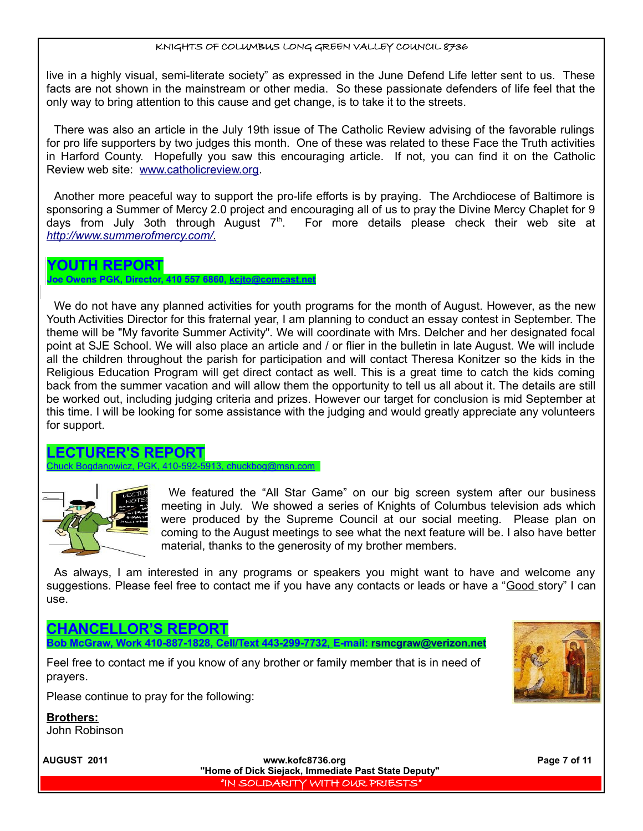live in a highly visual, semi-literate society" as expressed in the June Defend Life letter sent to us. These facts are not shown in the mainstream or other media. So these passionate defenders of life feel that the only way to bring attention to this cause and get change, is to take it to the streets.

There was also an article in the July 19th issue of The Catholic Review advising of the favorable rulings for pro life supporters by two judges this month. One of these was related to these Face the Truth activities in Harford County. Hopefully you saw this encouraging article. If not, you can find it on the Catholic Review web site: [www.catholicreview.org.](http://www.catholicreview.org/)

Another more peaceful way to support the pro-life efforts is by praying. The Archdiocese of Baltimore is sponsoring a Summer of Mercy 2.0 project and encouraging all of us to pray the Divine Mercy Chaplet for 9 days from July 3oth through August  $7<sup>th</sup>$ . For more details please check their web site at  *[http://www.summerofmercy.com/.](http://www.summerofmercy.com/)*

## **YOUTH REPORT Joe Owens PGK, Director, 410 557 6860, kcjto@comcast.net**

We do not have any planned activities for youth programs for the month of August. However, as the new Youth Activities Director for this fraternal year, I am planning to conduct an essay contest in September. The theme will be "My favorite Summer Activity". We will coordinate with Mrs. Delcher and her designated focal point at SJE School. We will also place an article and / or flier in the bulletin in late August. We will include all the children throughout the parish for participation and will contact Theresa Konitzer so the kids in the Religious Education Program will get direct contact as well. This is a great time to catch the kids coming back from the summer vacation and will allow them the opportunity to tell us all about it. The details are still be worked out, including judging criteria and prizes. However our target for conclusion is mid September at this time. I will be looking for some assistance with the judging and would greatly appreciate any volunteers for support.

## **LECTURER'S REPORT**

410-592-5913, chuckbog@msn.com



We featured the "All Star Game" on our big screen system after our business meeting in July. We showed a series of Knights of Columbus television ads which were produced by the Supreme Council at our social meeting. Please plan on coming to the August meetings to see what the next feature will be. I also have better material, thanks to the generosity of my brother members.

As always, I am interested in any programs or speakers you might want to have and welcome any suggestions. Please feel free to contact me if you have any contacts or leads or have a "Good story" I can use.

## **CHANCELLOR'S REPORT**

**Bob McGraw, Work 410-887-1828, Cell/Text 443-299-7732, E-mail: [rsmcgraw@verizon.net](mailto:rsmcgraw@verizon.net)**

Feel free to contact me if you know of any brother or family member that is in need of prayers.



Please continue to pray for the following:

**Brothers:**

John Robinson

 **AUGUST 2011 www.kofc8736.org Page 7 of 11 "Home of Dick Siejack, Immediate Past State Deputy"**  "IN SOLIDARITY WITH OUR PRIESTS"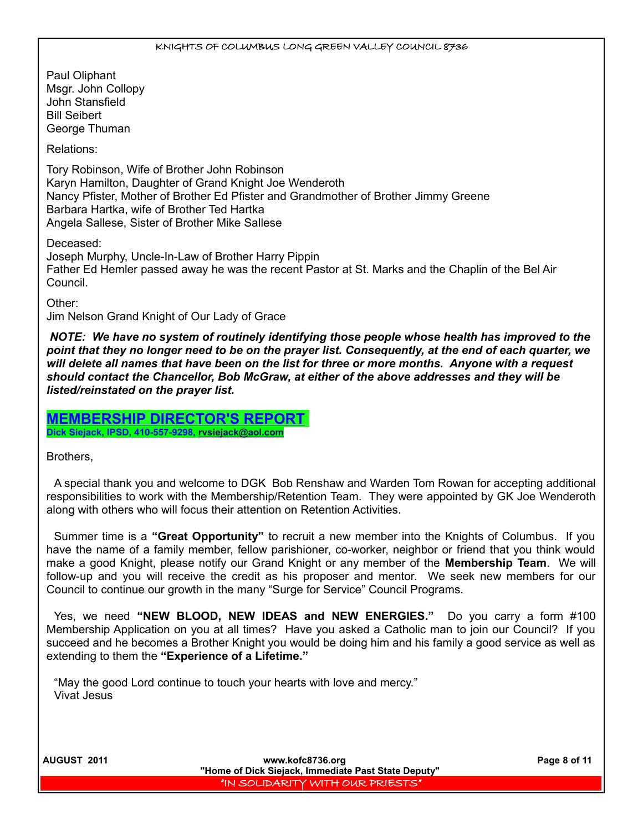Paul Oliphant Msgr. John Collopy John Stansfield Bill Seibert George Thuman

Relations:

Tory Robinson, Wife of Brother John Robinson Karyn Hamilton, Daughter of Grand Knight Joe Wenderoth Nancy Pfister, Mother of Brother Ed Pfister and Grandmother of Brother Jimmy Greene Barbara Hartka, wife of Brother Ted Hartka Angela Sallese, Sister of Brother Mike Sallese

Deceased:

Joseph Murphy, Uncle-In-Law of Brother Harry Pippin Father Ed Hemler passed away he was the recent Pastor at St. Marks and the Chaplin of the Bel Air Council.

Other:

Jim Nelson Grand Knight of Our Lady of Grace

 *NOTE: We have no system of routinely identifying those people whose health has improved to the point that they no longer need to be on the prayer list. Consequently, at the end of each quarter, we will delete all names that have been on the list for three or more months. Anyone with a request should contact the Chancellor, Bob McGraw, at either of the above addresses and they will be listed/reinstated on the prayer list.* 

**MEMBERSHIP DIRECTOR'S REPORT Dick Siejack, IPSD, 410-557-9298, [rvsiejack@aol.com](mailto:rvsiejack@aol.com)**

Brothers,

A special thank you and welcome to DGK Bob Renshaw and Warden Tom Rowan for accepting additional responsibilities to work with the Membership/Retention Team. They were appointed by GK Joe Wenderoth along with others who will focus their attention on Retention Activities.

Summer time is a **"Great Opportunity"** to recruit a new member into the Knights of Columbus. If you have the name of a family member, fellow parishioner, co-worker, neighbor or friend that you think would make a good Knight, please notify our Grand Knight or any member of the **Membership Team**. We will follow-up and you will receive the credit as his proposer and mentor. We seek new members for our Council to continue our growth in the many "Surge for Service" Council Programs.

Yes, we need **"NEW BLOOD, NEW IDEAS and NEW ENERGIES."** Do you carry a form #100 Membership Application on you at all times? Have you asked a Catholic man to join our Council? If you succeed and he becomes a Brother Knight you would be doing him and his family a good service as well as extending to them the **"Experience of a Lifetime."**

"May the good Lord continue to touch your hearts with love and mercy." Vivat Jesus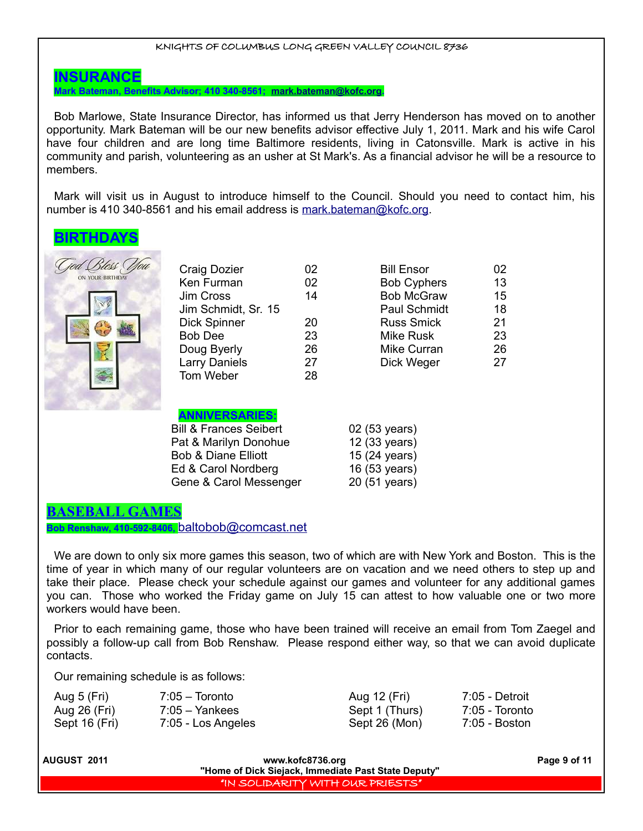## **INSURANCE**

**Mark Bateman, Benefits Advisor; 410 340-8561; [mark.bateman@kofc.org.](mailto:mark.bateman@kofc.org)**

Bob Marlowe, State Insurance Director, has informed us that Jerry Henderson has moved on to another opportunity. Mark Bateman will be our new benefits advisor effective July 1, 2011. Mark and his wife Carol have four children and are long time Baltimore residents, living in Catonsville. Mark is active in his community and parish, volunteering as an usher at St Mark's. As a financial advisor he will be a resource to members.

Mark will visit us in August to introduce himself to the Council. Should you need to contact him, his number is 410 340-8561 and his email address is [mark.bateman@kofc.org.](mailto:mark.bateman@kofc.org)

## **BIRTHDAYS**



| <b>Craig Dozier</b>  | 02 | <b>Bill Ensor</b>  | 02 |
|----------------------|----|--------------------|----|
| Ken Furman           | 02 | <b>Bob Cyphers</b> | 13 |
| Jim Cross            | 14 | <b>Bob McGraw</b>  | 15 |
| Jim Schmidt, Sr. 15  |    | Paul Schmidt       | 18 |
| <b>Dick Spinner</b>  | 20 | <b>Russ Smick</b>  | 21 |
| <b>Bob Dee</b>       | 23 | Mike Rusk          | 23 |
| Doug Byerly          | 26 | Mike Curran        | 26 |
| <b>Larry Daniels</b> | 27 | Dick Weger         | 27 |
| Tom Weber            | 28 |                    |    |
|                      |    |                    |    |

## **ANNIVERSARIES:**

| <b>Bill &amp; Frances Seibert</b> | 02 (53 years) |
|-----------------------------------|---------------|
| Pat & Marilyn Donohue             | 12 (33 years) |
| <b>Bob &amp; Diane Elliott</b>    | 15 (24 years) |
| Ed & Carol Nordberg               | 16 (53 years) |
| Gene & Carol Messenger            | 20 (51 years) |

|  | ? (53 years)          |  |
|--|-----------------------|--|
|  | 2 (33 years)          |  |
|  | $5(24 \text{ years})$ |  |

# 16 (53 years)

#### 20 (51 years)

## **BASEBALL GAMES**

**Bob Renshaw, 410-592-8406,** [baltobob@comcast.net](mailto:baltobob@comcast.net)

We are down to only six more games this season, two of which are with New York and Boston. This is the time of year in which many of our regular volunteers are on vacation and we need others to step up and take their place. Please check your schedule against our games and volunteer for any additional games you can. Those who worked the Friday game on July 15 can attest to how valuable one or two more workers would have been.

Prior to each remaining game, those who have been trained will receive an email from Tom Zaegel and possibly a follow-up call from Bob Renshaw. Please respond either way, so that we can avoid duplicate contacts.

Our remaining schedule is as follows:

| Aug 5 (Fri)   | $7:05 -$ Toronto   | Aug 12 (Fri)   | 7:05 - Detroit |
|---------------|--------------------|----------------|----------------|
| Aug 26 (Fri)  | $7:05 -$ Yankees   | Sept 1 (Thurs) | 7:05 - Toronto |
| Sept 16 (Fri) | 7:05 - Los Angeles | Sept 26 (Mon)  | 7:05 - Boston  |

| l AUGUST  2011 | www.kofc8736.org                                    | Page 9 of 11 |
|----------------|-----------------------------------------------------|--------------|
|                | "Home of Dick Siejack, Immediate Past State Deputy" |              |
|                | I'IN SOLIDARITY WITH OUR PRIESTS'                   |              |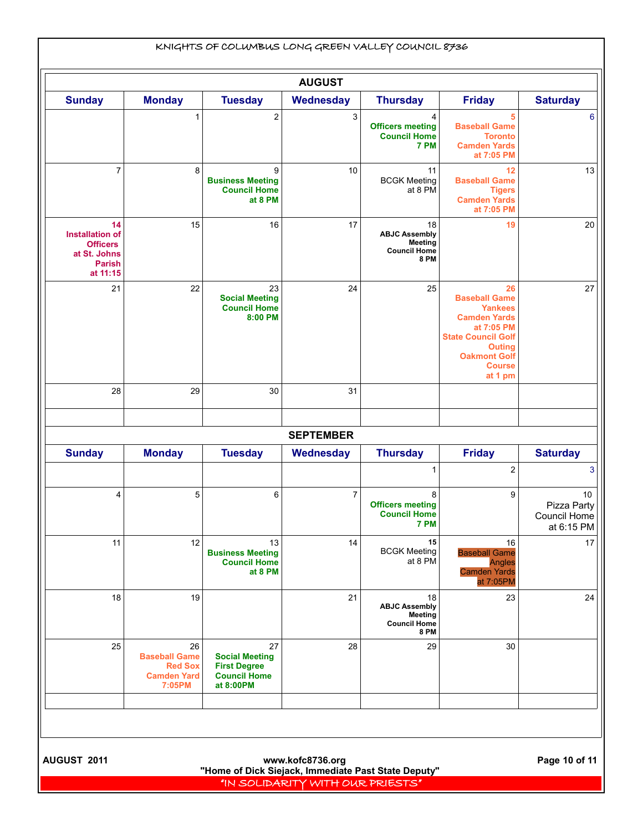| <b>Sunday</b>                                                                                |                            |                                                                 | <b>AUGUST</b>    |                                                                                    |                                                                                                                                                                                    |                                           |
|----------------------------------------------------------------------------------------------|----------------------------|-----------------------------------------------------------------|------------------|------------------------------------------------------------------------------------|------------------------------------------------------------------------------------------------------------------------------------------------------------------------------------|-------------------------------------------|
|                                                                                              | <b>Monday</b>              | <b>Tuesday</b>                                                  | Wednesday        | <b>Thursday</b>                                                                    | <b>Friday</b>                                                                                                                                                                      | <b>Saturday</b>                           |
|                                                                                              | 1                          | $\overline{\mathbf{c}}$                                         | 3                | 4<br><b>Officers meeting</b><br><b>Council Home</b><br>7 PM                        | 5<br><b>Baseball Game</b><br><b>Toronto</b><br><b>Camden Yards</b><br>at 7:05 PM                                                                                                   |                                           |
| $\overline{7}$                                                                               | 8                          | 9<br><b>Business Meeting</b><br><b>Council Home</b><br>at 8 PM  | 10               | 11<br><b>BCGK Meeting</b><br>at 8 PM                                               | 12<br><b>Baseball Game</b><br><b>Tigers</b><br><b>Camden Yards</b><br>at 7:05 PM                                                                                                   |                                           |
| 14<br><b>Installation of</b><br><b>Officers</b><br>at St. Johns<br><b>Parish</b><br>at 11:15 | 15                         | 16                                                              | 17               | 18<br><b>ABJC Assembly</b><br><b>Meeting</b><br><b>Council Home</b><br><b>8 PM</b> | 19                                                                                                                                                                                 |                                           |
| 21                                                                                           | 22                         | 23<br><b>Social Meeting</b><br><b>Council Home</b><br>8:00 PM   | 24               | 25                                                                                 | 26<br><b>Baseball Game</b><br><b>Yankees</b><br><b>Camden Yards</b><br>at 7:05 PM<br><b>State Council Golf</b><br><b>Outing</b><br><b>Oakmont Golf</b><br><b>Course</b><br>at 1 pm |                                           |
| 28                                                                                           | 29                         | 30                                                              | 31               |                                                                                    |                                                                                                                                                                                    |                                           |
|                                                                                              |                            |                                                                 | <b>SEPTEMBER</b> |                                                                                    |                                                                                                                                                                                    |                                           |
| <b>Sunday</b>                                                                                | <b>Monday</b>              | <b>Tuesday</b>                                                  | Wednesday        | <b>Thursday</b>                                                                    | <b>Friday</b>                                                                                                                                                                      | <b>Saturday</b>                           |
|                                                                                              |                            |                                                                 |                  | 1                                                                                  | 2                                                                                                                                                                                  |                                           |
| 4                                                                                            | 5                          | 6                                                               | 7                | 8<br><b>Officers meeting</b><br><b>Council Home</b><br>7 PM                        | 9                                                                                                                                                                                  | Pizza Party<br>Council Home<br>at 6:15 PM |
| 11                                                                                           | 12                         | 13<br><b>Business Meeting</b><br><b>Council Home</b><br>at 8 PM | 14               | 15<br><b>BCGK Meeting</b><br>at 8 PM                                               | 16<br><b>Baseball Game</b><br><b>Angles</b><br><b>Camden Yards</b><br>at 7:05PM                                                                                                    |                                           |
| 18                                                                                           | 19                         |                                                                 | 21               | 18<br><b>ABJC Assembly</b><br><b>Meeting</b><br><b>Council Home</b><br><b>8 PM</b> | 23                                                                                                                                                                                 |                                           |
|                                                                                              | 26<br><b>Baseball Game</b> | 27<br><b>Social Meeting</b><br><b>First Degree</b>              | 28               | 29                                                                                 | 30                                                                                                                                                                                 |                                           |